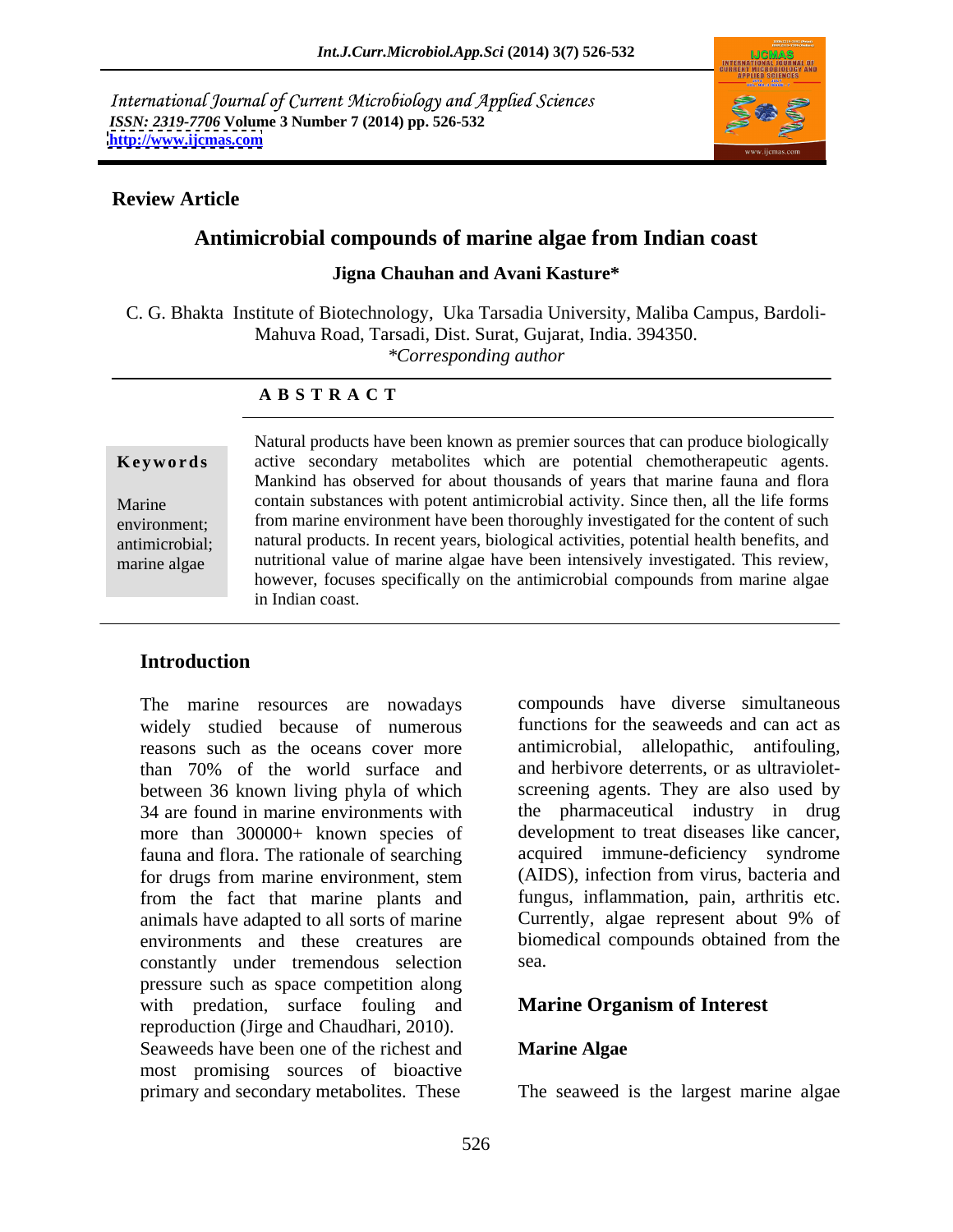International Journal of Current Microbiology and Applied Sciences *ISSN: 2319-7706* **Volume 3 Number 7 (2014) pp. 526-532 <http://www.ijcmas.com>**



## **Review Article**

# **Antimicrobial compounds of marine algae from Indian coast**

### **Jigna Chauhan and Avani Kasture\***

C. G. Bhakta Institute of Biotechnology, Uka Tarsadia University, Maliba Campus, Bardoli- Mahuva Road, Tarsadi, Dist. Surat, Gujarat, India. 394350.

*\*Corresponding author* 

### **A B S T R A C T**

**Keywords** active secondary metabolites which are potential chemotherapeutic agents. Marine contain substances with potent antimicrobial activity. Since then, all the life forms environment; from marine environment have been thoroughly investigated for the content of such antimicrobial; natural products. In recent years, biological activities, potential health benefits, and marine algae nutritional value of marine algae have been intensively investigated. This review, Natural products have been known as premier sources that can produce biologically Mankind has observed for about thousands of years that marine fauna and flora however, focuses specifically on the antimicrobial compounds from marine algae in Indian coast.

# **Introduction**

The marine resources are nowadays widely studied because of numerous reasons such as the oceans cover more antimicrobial, allelopathic, antifouling, than 70% of the world surface and and herbivore deterrents, or as ultravioletbetween 36 known living phyla of which 34 are found in marine environments with more than 300000+ known species of fauna and flora. The rationale of searching for drugs from marine environment, stem from the fact that marine plants and fungus, inflammation, pain, arthritis etc.<br>animals have adapted to all sorts of marine Currently, algae represent about 9% of animals have adapted to all sorts of marine environments and these creatures are constantly under tremendous selection pressure such as space competition along with predation, surface fouling and reproduction (Jirge and Chaudhari, 2010). Seaweeds have been one of the richest and **Marine Algae** most promising sources of bioactive primary and secondary metabolites. These The seaweed is the largest marine algae

compounds have diverse simultaneous functions for the seaweeds and can act as and herbivore deterrents, or as ultraviolet screening agents. They are also used by the pharmaceutical industry in drug development to treat diseases like cancer, acquired immune-deficiency syndrome (AIDS), infection from virus, bacteria and fungus, inflammation, pain, arthritis etc. Currently, algae represent about 9% of biomedical compounds obtained from the sea.

# **Marine Organism of Interest**

## **Marine Algae**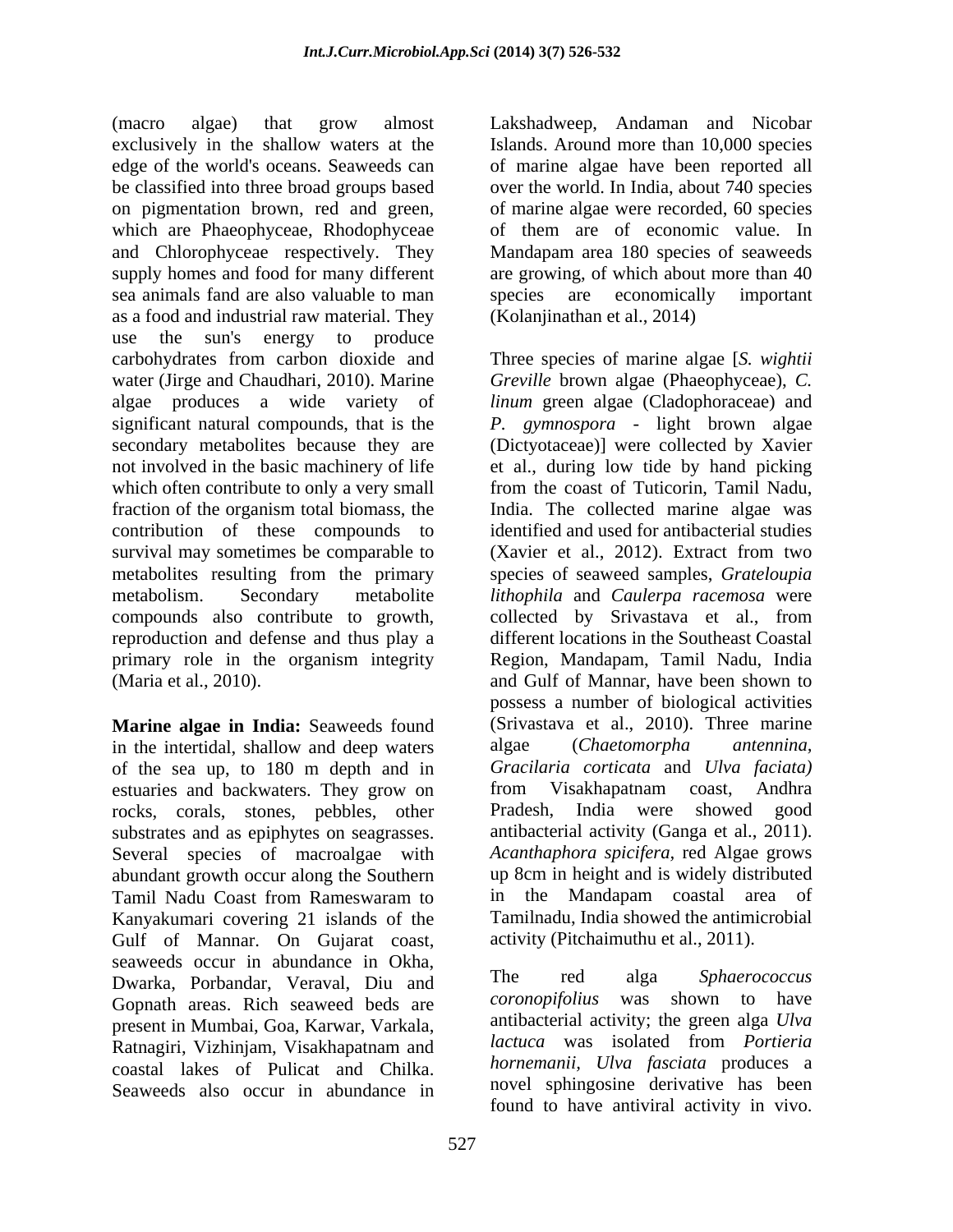(macro algae) that grow almost Lakshadweep, Andaman and Nicobar exclusively in the shallow waters at the Islands. Around more than 10,000 species edge of the world's oceans. Seaweeds can of marine algae have been reported all be classified into three broad groups based over the world. In India, about 740 species on pigmentation brown, red and green, of marine algae were recorded, 60 species which are Phaeophyceae, Rhodophyceae and Chlorophyceae respectively. They Mandapam area 180 species of seaweeds supply homes and food for many different are growing, of which about more than 40 sea animals fand are also valuable to man species are economically important as a food and industrial raw material. They use the sun's energy to produce carbohydrates from carbon dioxide and Three species of marine algae [*S. wightii* water (Jirge and Chaudhari, 2010). Marine *Greville* brown algae (Phaeophyceae), *C.*  algae produces a wide variety of *linum* green algae (Cladophoraceae) and significant natural compounds, that is the *P. gymnospora* - light brown algae secondary metabolites because they are (Dictyotaceae)] were collected by Xavier not involved in the basic machinery of life et al., during low tide by hand picking which often contribute to only a very small fraction of the organism total biomass, the India. The collected marine algae was contribution of these compounds to survival may sometimes be comparable to (Xavier et al., 2012). Extract from two metabolites resulting from the primary species of seaweed samples, *Grateloupia*  metabolism. Secondary metabolite *lithophila* and *Caulerpa racemosa* were compounds also contribute to growth, collected by Srivastava et al., from reproduction and defense and thus play a primary role in the organism integrity (Maria et al., 2010). and Gulf of Mannar, have been shown to

in the intertidal, shallow and deep waters algae (Chaetomorpha antennina, of the sea up, to 180 m depth and in estuaries and backwaters. They grow on from Visakhapatnam coast, Andhra rocks, corals, stones, pebbles, other substrates and as epiphytes on seagrasses. Several species of macroalgae with abundant growth occur along the Southern approximate up 8cm in height and is widely c<br>
Tamil Nadu Coast from Rameswaram to a single mandapam coastal Kanyakumari covering 21 islands of the Gulf of Mannar. On Gujarat coast, seaweeds occur in abundance in Okha,<br>
Surgeke Borbandar, Voravel, Diu and The red alga Sphaerococcus Dwarka, Porbandar, Veraval, Diu and the reditional phase organization of the Seamest Coronopifolius was shown to have Gopnath areas. Rich seaweed beds are present in Mumbai, Goa, Karwar, Varkala, Ratnagiri, Vizhinjam, Visakhapatnam and coastal lakes of Pulicat and Chilka. Seaweeds also occur in abundance in

of them are of economic value. In species are economically important (Kolanjinathan et al., 2014)

**Marine algae in India:** Seaweeds found (Srivastava et al., 2010). Three marine Tamil Nadu Coast from Rameswaram to from the coast of Tuticorin, Tamil Nadu, India. The collected marine algae was identified and used for antibacterial studies different locations in the Southeast Coastal Region, Mandapam, Tamil Nadu, India possess a number of biological activities algae (*Chaetomorpha antennina, Gracilaria corticata* and *Ulva faciata)* from Visakhapatnam coast, Andhra Pradesh, India were showed good antibacterial activity (Ganga et al., 2011). *Acanthaphora spicifera,* red Algae grows up 8cm in height and is widely distributed in the Mandapam coastal area of Tamilnadu, India showed the antimicrobial activity (Pitchaimuthu et al., 2011).

> The red alga *Sphaerococcus coronopifolius* was shown to have antibacterial activity; the green alga *Ulva lactuca* was isolated from *Portieria hornemanii, Ulva fasciata* produces a novel sphingosine derivative has been found to have antiviral activity in vivo.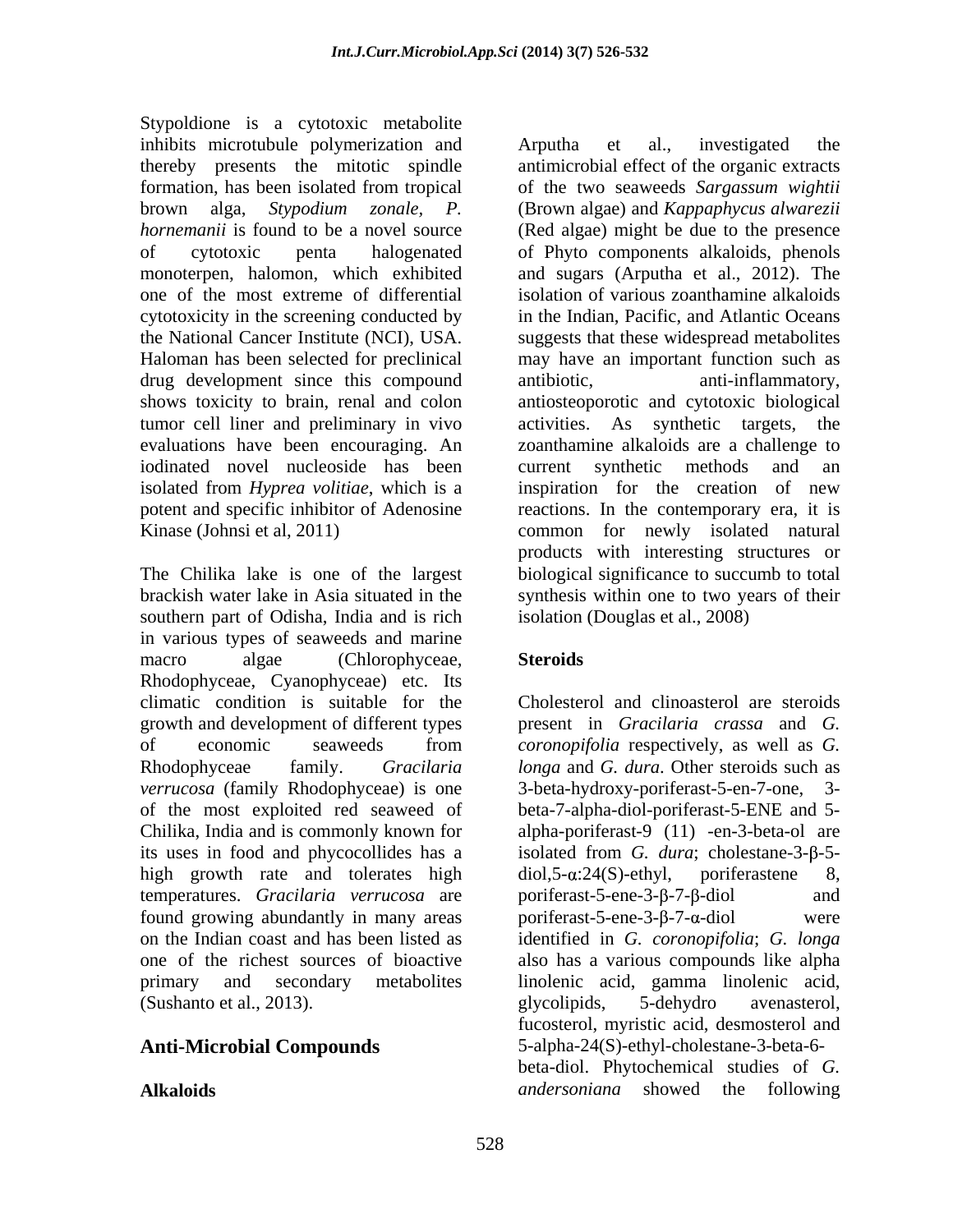Stypoldione is a cytotoxic metabolite inhibits microtubule polymerization and Arputha et al., investigated the thereby presents the mitotic spindle drug development since this compound tumor cell liner and preliminary in vivo activities. As synthetic targets, the iodinated novel nucleoside has been current synthetic methods and an

southern part of Odisha, India and is rich in various types of seaweeds and marine macro algae (Chlorophyceae, Steroids) Rhodophyceae, Cyanophyceae) etc. Its climatic condition is suitable for the growth and development of different types present in *Gracilaria crassa* and *G.*  of economic seaweeds from *coronopifolia* respectively, as well as G. Rhodophyceae family. *Gracilaria longa* and *G. dura*. Other steroids such as *verrucosa* (family Rhodophyceae) is one 3-beta-hydroxy-poriferast-5-en-7-one, 3of the most exploited red seaweed of beta-7-alpha-diol-poriferast-5-ENE and 5- Chilika, India and is commonly known for alpha-poriferast-9 (11) -en-3-beta-ol are its uses in food and phycocollides has a high growth rate and tolerates high  $diol.5-\alpha:24(S)-ethyl$ , poriferastene 8, temperatures. *Gracilaria verrucosa* are poriferast-5-ene-3-β-7-β-diol and found growing abundantly in many areas portions to provide the  $3-8-7-\alpha$ -diol were on the Indian coast and has been listed as identified in *G. coronopifolia*; *G. longa* one of the richest sources of bioactive also has a various compounds like alpha primary and secondary metabolites linolenic acid, gamma linolenic acid, (Sushanto et al., 2013). (Sushanto et al., 2013).

formation, has been isolated from tropical of the two seaweeds *Sargassum wightii*  brown alga, *Stypodium zonale, P.* (Brown algae) and *Kappaphycus alwarezii hornemanii* is found to be a novel source (Red algae) might be due to the presence of cytotoxic penta halogenated of Phyto components alkaloids, phenols monoterpen, halomon, which exhibited and sugars (Arputha et al., 2012). The one of the most extreme of differential isolation of various zoanthamine alkaloids cytotoxicity in the screening conducted by in the Indian, Pacific, and Atlantic Oceans the National Cancer Institute (NCI), USA. suggests that these widespread metabolites Haloman has been selected for preclinical may have an important function such as shows toxicity to brain, renal and colon antiosteoporotic and cytotoxic biological evaluations have been encouraging. An zoanthamine alkaloids are a challenge to isolated from *Hyprea volitiae*, which is a inspiration for the creation of new potent and specific inhibitor of Adenosine reactions. In the contemporary era, it is Kinase (Johnsi et al, 2011) common for newly isolated natural The Chilika lake is one of the largest biological significance to succumb to total brackish water lake in Asia situated in the synthesis within one to two years of their Arputha et al., investigated the antimicrobial effect of the organic extracts anti-inflammatory, activities. As synthetic targets, current synthetic methods and an products with interesting structures or isolation (Douglas et al., 2008)

# **Steroids**

**Anti-Microbial Compounds** 5-alpha-24(S)-ethyl-cholestane-3-beta-6- Alkaloids **Alkaloids** and *and ersoniana* showed the following Cholesterol and clinoasterol are steroids *coronopifolia* respectively, as well as *G.*  3-beta-hydroxy-poriferast-5-en-7-one, 3 isolated from *G. dura*; cholestane-3-β-5 $diol, 5-\alpha:24(S)$ -ethyl, poriferastene 8,  $poriferast-5-ene-3- $\beta$ -7- $\beta$ -diol and$ poriferast-5-ene-3- $\beta$ -7- $\alpha$ -diol glycolipids, 5-dehydro avenasterol, fucosterol, myristic acid, desmosterol and beta-diol. Phytochemical studies of *G. andersoniana* showed the following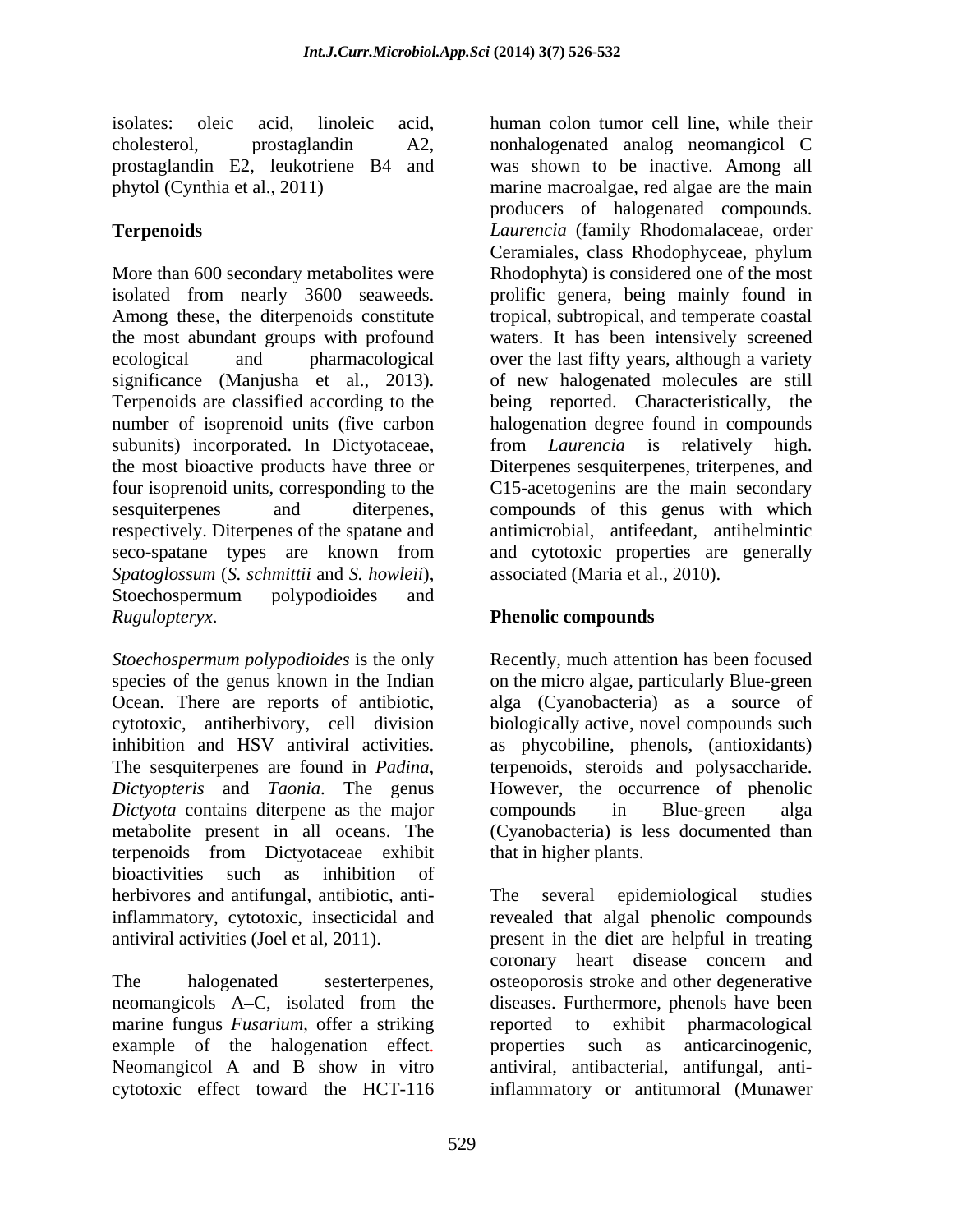prostaglandin E2, leukotriene B4 and

More than 600 secondary metabolites were Rhodophyta) is considered one of the most isolated from nearly 3600 seaweeds. Among these, the diterpenoids constitute tropical, subtropical, and temperate coastal the most abundant groups with profound waters. It has been intensively screened ecological and pharmacological over the last fifty years, although a variety significance (Manjusha et al., 2013). of new halogenated molecules are still Terpenoids are classified according to the being reported. Characteristically, the number of isoprenoid units (five carbon subunits) incorporated. In Dictyotaceae, from *Laurencia* is relatively high. the most bioactive products have three or Diterpenes sesquiterpenes, triterpenes, and four isoprenoid units, corresponding to the C15-acetogenins are the main secondary sesquiterpenes and diterpenes, compounds of this genus with which respectively. Diterpenes of the spatane and seco-spatane types are known from and cytotoxic properties are generally *Spatoglossum* (*S. schmittii* and *S. howleii*), Stoechospermum polypodioides and states and states are seen as a state of the states of the states of the states of the states of the states of the states of the states of the states of the states of the states of the stat *Rugulopteryx*. **Phenolic compounds**

*Stoechospermum polypodioides* is the only Recently, much attention has been focused species of the genus known in the Indian on the micro algae, particularly Blue-green Ocean. There are reports of antibiotic, cytotoxic, antiherbivory, cell division biologically active, novel compounds such inhibition and HSV antiviral activities. as phycobiline, phenols, (antioxidants) The sesquiterpenes are found in *Padina,*  terpenoids, steroids and polysaccharide. *Dictyopteris* and *Taonia*. The genus *Dictyota* contains diterpene as the major compounds in Blue-green alga metabolite present in all oceans. The (Cyanobacteria) is less documented than terpenoids from Dictyotaceae exhibit bioactivities such as inhibition of herbivores and antifungal, antibiotic, anti-<br>
The several epidemiological studies inflammatory, cytotoxic, insecticidal and

marine fungus *Fusarium*, offer a striking reported to exhibit pharmacological

isolates: oleic acid, linoleic acid, human colon tumor cell line, while their cholesterol, prostaglandin A2, nonhalogenated analog neomangicol C phytol (Cynthia et al., 2011) marine macroalgae, red algae are the main **Terpenoids** *Laurencia* (family Rhodomalaceae, order was shown to be inactive. Among all producers of halogenated compounds. Ceramiales, class Rhodophyceae, phylum prolific genera, being mainly found in halogenation degree found in compounds antimicrobial, antifeedant, antihelmintic associated (Maria et al., 2010).

alga (Cyanobacteria) as a source of However, the occurrence of phenolic compounds in Blue-green alga that in higher plants.

antiviral activities (Joel et al, 2011). present in the diet are helpful in treating The halogenated sesterterpenes, osteoporosis stroke and other degenerative neomangicols A C, isolated from the diseases. Furthermore, phenols have been example of the halogenation effect. In properties such as anticarcinogenic,<br>Neomangicol A and B show in vitro antiviral, antibacterial, antifungal, anticytotoxic effect toward the HCT-116 inflammatory or antitumoral (MunawerThe several epidemiological studies revealed that algal phenolic compounds coronary heart disease concern and reported to exhibit pharmacological properties such as anticarcinogenic, antiviral, antibacterial, antifungal, anti-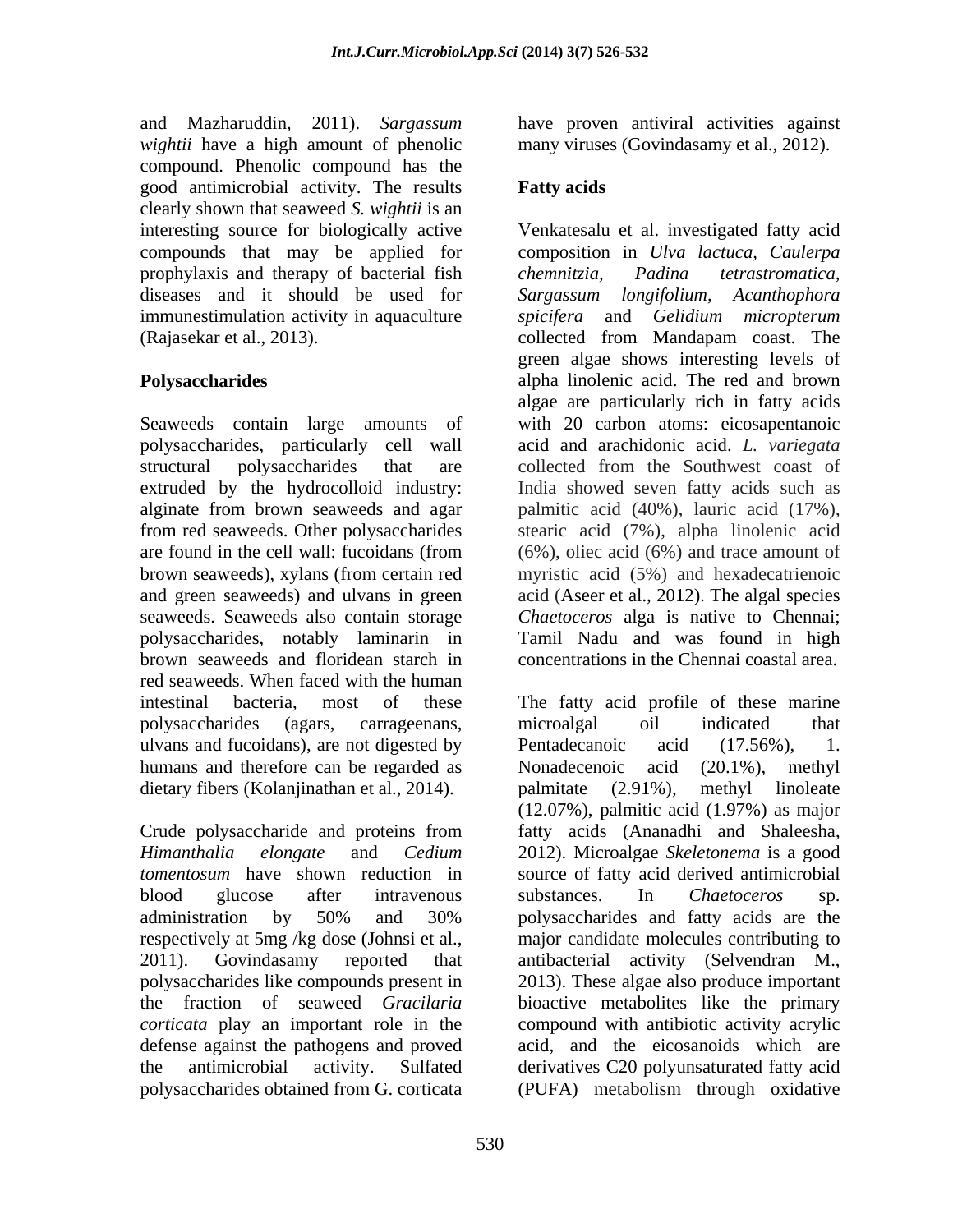and Mazharuddin, 2011). *Sargassum*  have proven antiviral activities against *wightii* have a high amount of phenolic many viruses (Govindasamy et al., 2012). compound. Phenolic compound has the good antimicrobial activity. The results **Fatty acids** clearly shown that seaweed *S.wightii* is an prophylaxis and therapy of bacterial fish chemnitzia, Padina tetrastromatica, diseases and it should be used for Sargassum longifolium, Acanthophora (Rajasekar et al., 2013).

structural polysaccharides that are collected from the Southwest coast of seaweeds. Seaweeds also contain storage brown seaweeds and floridean starch in red seaweeds. When faced with the human ulvans and fucoidans), are not digested by Pentadecanoic acid (17.56%), 1. humans and therefore can be regarded as Nonadecenoic acid (20.1%), methyl dietary fibers (Kolanjinathan et al., 2014).  $\qquad \qquad$  palmitate (2.91%), methyl linoleate

# **Fatty acids**

interesting source for biologically active Venkatesalu et al. investigated fatty acid compounds that may be applied for composition in *Ulva lactuca, Caulerpa* immunestimulation activity in aquaculture *spicifera* and *Gelidium micropterum* **Polysaccharides** alpha linolenic acid. The red and brown Seaweeds contain large amounts of with 20 carbon atoms: eicosapentanoic polysaccharides, particularly cell wall acid and arachidonic acid. *L. variegata* extruded by the hydrocolloid industry: India showed seven fatty acids such as alginate from brown seaweeds and agar palmitic acid (40%), lauric acid (17%), from red seaweeds. Other polysaccharides stearic acid (7%), alpha linolenic acid are found in the cell wall: fucoidans (from (6%), oliec acid (6%) and trace amount of brown seaweeds), xylans (from certain red myristic acid (5%) and hexadecatrienoic and green seaweeds) and ulvans in green acid (Aseer et al., 2012). The algal species polysaccharides, notably laminarin in Tamil Nadu and was found in high *chemnitzia, Padina tetrastromatica, Sargassum longifolium, Acanthophora* collected from Mandapam coast. The green algae shows interesting levels of algae are particularly rich in fatty acids collected from the Southwest coast of *Chaetoceros* alga is native to Chennai; concentrations in the Chennai coastal area.

intestinal bacteria, most of these The fatty acid profile of these marine polysaccharides (agars, carrageenans, Crude polysaccharide and proteins from fatty acids (Ananadhi and Shaleesha, *Himanthalia elongate* and *Cedium*  2012). Microalgae *Skeletonema* is a good *tomentosum* have shown reduction in source of fatty acid derived antimicrobial blood glucose after intravenous substances. In Chaetoceros sp. administration by 50% and 30% respectively at 5mg /kg dose (Johnsi et al., major candidate molecules contributing to 2011). Govindasamy reported that antibacterial activity (Selvendran M., polysaccharides like compounds present in 2013). These algae also produce important the fraction of seaweed *Gracilaria* bioactive metabolites like the primary *corticata* play an important role in the compound with antibiotic activity acrylic defense against the pathogens and proved acid, and the eicosanoids which are the antimicrobial activity. Sulfated derivatives C20 polyunsaturated fatty acid polysaccharides obtained from G. corticata (PUFA) metabolism through oxidative microalgal oil indicated that Pentadecanoic acid (17.56%), 1. Nonadecenoic acid (20.1%), methyl palmitate (2.91%), methyl linoleate (12.07%), palmitic acid (1.97%) as major substances. In *Chaetoceros* sp. polysaccharides and fatty acids are the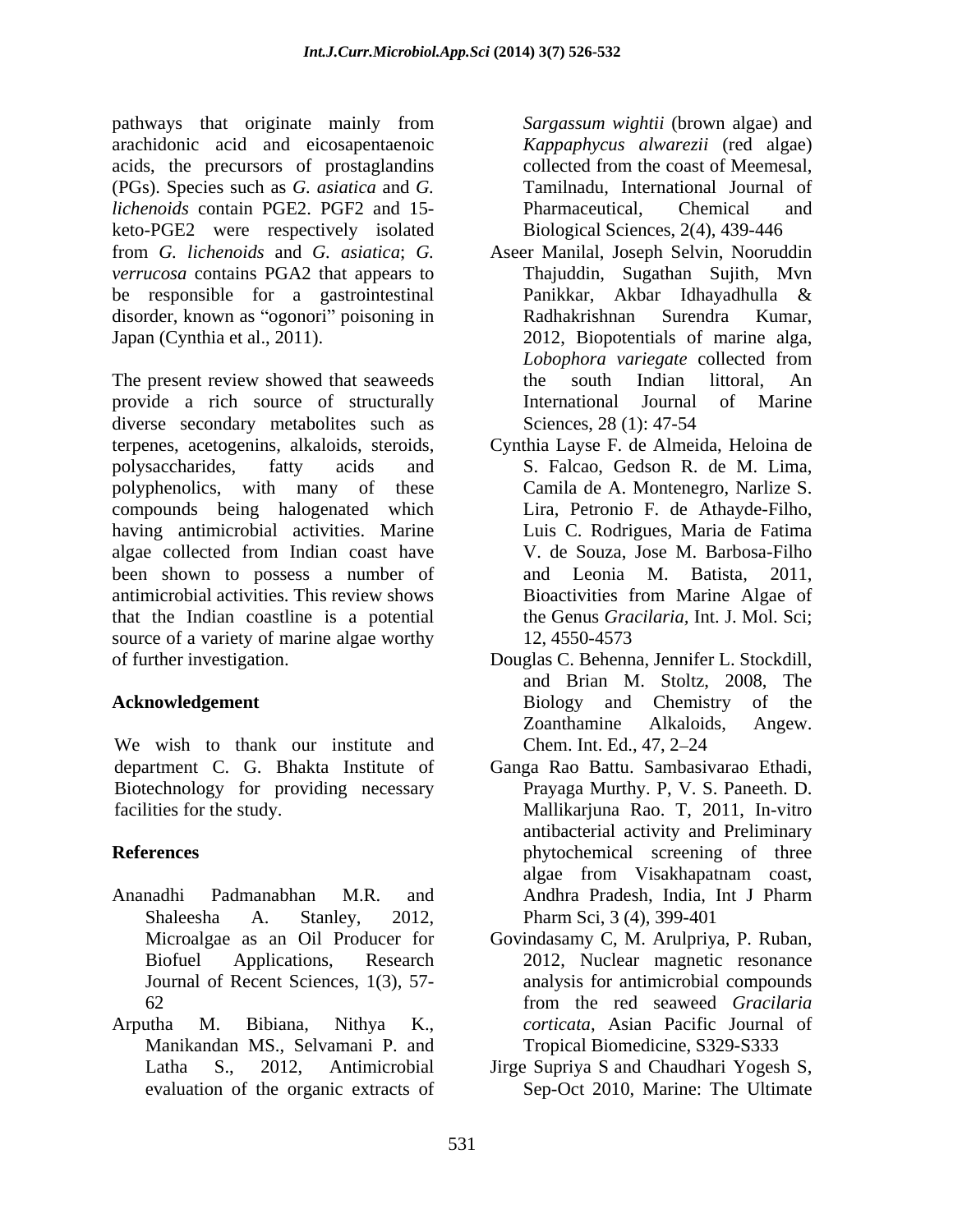pathways that originate mainly from arachidonic acid and eicosapentaenoic acids, the precursors of prostaglandins collected from the coast of Meemesal, (PGs). Species such as *G. asiatica* and *G. lichenoids* contain PGE2. PGF2 and 15 keto-PGE2 were respectively isolated *verrucosa* contains PGA2 that appears to be responsible for a gastrointestinal Panikkar, Akbar Idhayadhulla & disorder, known as "ogonori" poisoning in Radhakrishnan Surendra Kumar,

The present review showed that seaweeds a search the south Indian littoral, An provide a rich source of structurally **International Journal of Marine** diverse secondary metabolites such as Sciences, 28 (1): 47-54 terpenes, acetogenins, alkaloids, steroids, Cynthia Layse F. de Almeida, Heloina de polysaccharides, fatty acids and S. Falcao, Gedson R. de M. Lima, polyphenolics, with many of these compounds being halogenated which having antimicrobial activities. Marine algae collected from Indian coast have been shown to possess a number of and Leonia M. Batista, 2011, antimicrobial activities. This review shows that the Indian coastline is a potential source of a variety of marine algae worthy 12, 4550-4573 of further investigation. Douglas C. Behenna, Jennifer L. Stockdill,

We wish to thank our institute and Chem. Int. Ed., 47, 2–24 Biotechnology for providing necessary

- Ananadhi Padmanabhan M.R. and
- Arputha M. Bibiana, Nithya K., *corticata*, Asian Pacific Journal of Manikandan MS., Selvamani P. and

*Sargassum wightii* (brown algae) and *Kappaphycus alwarezii* (red algae) collected from the coast of Meemesal, Tamilnadu, International Journal of Pharmaceutical, Chemical and Biological Sciences, 2(4), 439-446

- from *G. lichenoids* and *G. asiatica*; *G.*  Aseer Manilal, Joseph Selvin, Nooruddin Japan (Cynthia et al., 2011). 2012, Biopotentials of marine alga, Thajuddin, Sugathan Sujith, Mvn Panikkar, Akbar Idhayadhulla & Radhakrishnan Surendra Kumar, *Lobophora variegate* collected from the south Indian littoral, An International Journal of Marine Sciences, 28 (1): 47-54
	- Camila de A. Montenegro, Narlize S. Lira, Petronio F. de Athayde-Filho, Luis C. Rodrigues, Maria de Fatima V. de Souza, Jose M. Barbosa-Filho and Leonia M. Batista, 2011, Bioactivities from Marine Algae of the Genus *Gracilaria,* Int. J. Mol. Sci; 12, 4550-4573
- **Acknowledgement** Biology and Chemistry of the and Brian M. Stoltz, 2008, The Biology and Chemistry of the Zoanthamine Alkaloids, Angew. Chem. Int. Ed., 47, 2–24
- department C. G. Bhakta Institute of Ganga Rao Battu. Sambasivarao Ethadi, facilities for the study. Mallikarjuna Rao. T, 2011, In-vitro **References** phytochemical screening of three Shaleesha A. Stanley, 2012, Pharm Sci, 3 (4), 399-401 Prayaga Murthy. P, V. S. Paneeth. D. antibacterial activity and Preliminary algae from Visakhapatnam coast, Andhra Pradesh, India, Int J Pharm
	- Microalgae as an Oil Producer for Govindasamy C, M. Arulpriya, P. Ruban, Biofuel Applications, Research 2012, Nuclear magnetic resonance Journal of Recent Sciences, 1(3), 57- analysis for antimicrobial compounds 62 from the red seaweed *Gracilaria* from the red seaweed *Gracilaria*  Tropical Biomedicine, S329-S333
	- Latha S., 2012, Antimicrobial Jirge Supriya S and Chaudhari Yogesh S, evaluation of the organic extracts of Sep-Oct 2010, Marine: The Ultimate